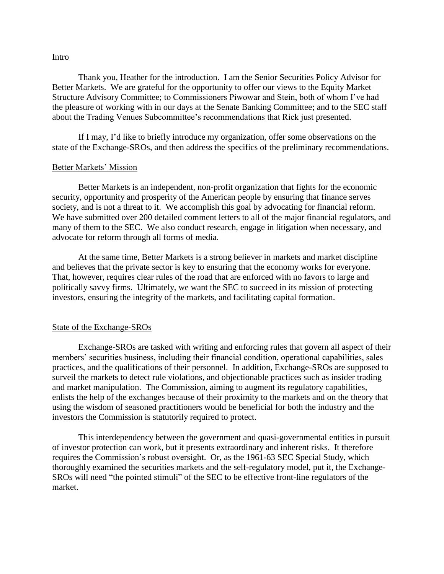## Intro

Thank you, Heather for the introduction. I am the Senior Securities Policy Advisor for Better Markets. We are grateful for the opportunity to offer our views to the Equity Market Structure Advisory Committee; to Commissioners Piwowar and Stein, both of whom I've had the pleasure of working with in our days at the Senate Banking Committee; and to the SEC staff about the Trading Venues Subcommittee's recommendations that Rick just presented.

If I may, I'd like to briefly introduce my organization, offer some observations on the state of the Exchange-SROs, and then address the specifics of the preliminary recommendations.

## Better Markets' Mission

Better Markets is an independent, non-profit organization that fights for the economic security, opportunity and prosperity of the American people by ensuring that finance serves society, and is not a threat to it. We accomplish this goal by advocating for financial reform. We have submitted over 200 detailed comment letters to all of the major financial regulators, and many of them to the SEC. We also conduct research, engage in litigation when necessary, and advocate for reform through all forms of media.

At the same time, Better Markets is a strong believer in markets and market discipline and believes that the private sector is key to ensuring that the economy works for everyone. That, however, requires clear rules of the road that are enforced with no favors to large and politically savvy firms. Ultimately, we want the SEC to succeed in its mission of protecting investors, ensuring the integrity of the markets, and facilitating capital formation.

## State of the Exchange-SROs

Exchange-SROs are tasked with writing and enforcing rules that govern all aspect of their members' securities business, including their financial condition, operational capabilities, sales practices, and the qualifications of their personnel. In addition, Exchange-SROs are supposed to surveil the markets to detect rule violations, and objectionable practices such as insider trading and market manipulation. The Commission, aiming to augment its regulatory capabilities, enlists the help of the exchanges because of their proximity to the markets and on the theory that using the wisdom of seasoned practitioners would be beneficial for both the industry and the investors the Commission is statutorily required to protect.

This interdependency between the government and quasi-governmental entities in pursuit of investor protection can work, but it presents extraordinary and inherent risks. It therefore requires the Commission's robust oversight. Or, as the 1961-63 SEC Special Study, which thoroughly examined the securities markets and the self-regulatory model, put it, the Exchange-SROs will need "the pointed stimuli" of the SEC to be effective front-line regulators of the market.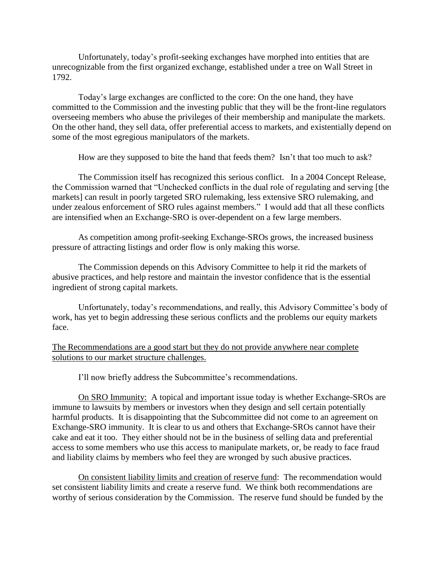Unfortunately, today's profit-seeking exchanges have morphed into entities that are unrecognizable from the first organized exchange, established under a tree on Wall Street in 1792.

Today's large exchanges are conflicted to the core: On the one hand, they have committed to the Commission and the investing public that they will be the front-line regulators overseeing members who abuse the privileges of their membership and manipulate the markets. On the other hand, they sell data, offer preferential access to markets, and existentially depend on some of the most egregious manipulators of the markets.

How are they supposed to bite the hand that feeds them? Isn't that too much to ask?

The Commission itself has recognized this serious conflict. In a 2004 Concept Release, the Commission warned that "Unchecked conflicts in the dual role of regulating and serving [the markets] can result in poorly targeted SRO rulemaking, less extensive SRO rulemaking, and under zealous enforcement of SRO rules against members." I would add that all these conflicts are intensified when an Exchange-SRO is over-dependent on a few large members.

As competition among profit-seeking Exchange-SROs grows, the increased business pressure of attracting listings and order flow is only making this worse.

The Commission depends on this Advisory Committee to help it rid the markets of abusive practices, and help restore and maintain the investor confidence that is the essential ingredient of strong capital markets.

Unfortunately, today's recommendations, and really, this Advisory Committee's body of work, has yet to begin addressing these serious conflicts and the problems our equity markets face.

The Recommendations are a good start but they do not provide anywhere near complete solutions to our market structure challenges.

I'll now briefly address the Subcommittee's recommendations.

On SRO Immunity: A topical and important issue today is whether Exchange-SROs are immune to lawsuits by members or investors when they design and sell certain potentially harmful products. It is disappointing that the Subcommittee did not come to an agreement on Exchange-SRO immunity. It is clear to us and others that Exchange-SROs cannot have their cake and eat it too. They either should not be in the business of selling data and preferential access to some members who use this access to manipulate markets, or, be ready to face fraud and liability claims by members who feel they are wronged by such abusive practices.

On consistent liability limits and creation of reserve fund: The recommendation would set consistent liability limits and create a reserve fund. We think both recommendations are worthy of serious consideration by the Commission. The reserve fund should be funded by the